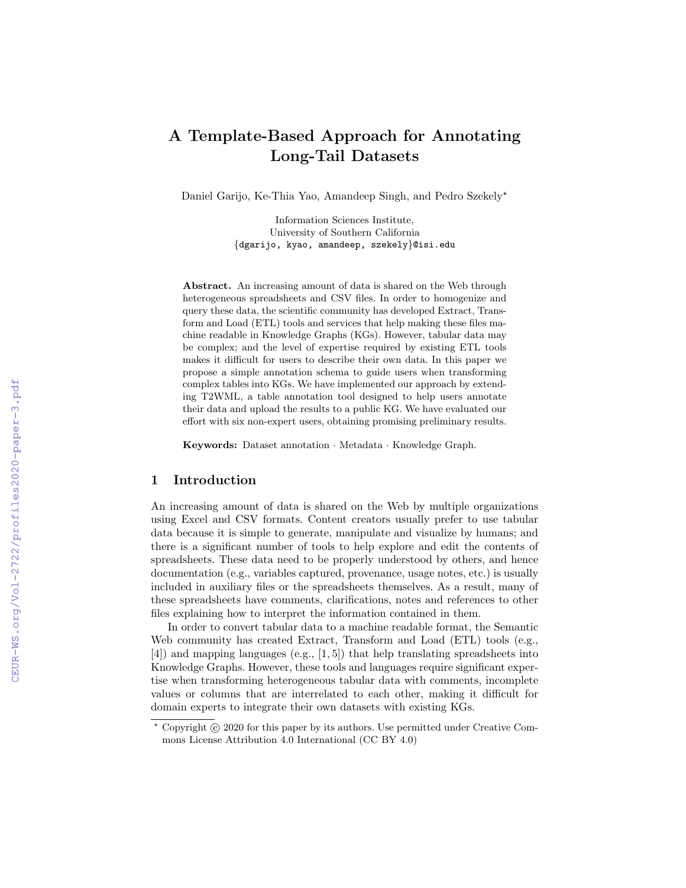# A Template-Based Approach for Annotating Long-Tail Datasets

Daniel Garijo, Ke-Thia Yao, Amandeep Singh, and Pedro Szekely?

Information Sciences Institute, University of Southern California {dgarijo, kyao, amandeep, szekely}@isi.edu

Abstract. An increasing amount of data is shared on the Web through heterogeneous spreadsheets and CSV files. In order to homogenize and query these data, the scientific community has developed Extract, Transform and Load (ETL) tools and services that help making these files machine readable in Knowledge Graphs (KGs). However, tabular data may be complex; and the level of expertise required by existing ETL tools makes it difficult for users to describe their own data. In this paper we propose a simple annotation schema to guide users when transforming complex tables into KGs. We have implemented our approach by extending T2WML, a table annotation tool designed to help users annotate their data and upload the results to a public KG. We have evaluated our effort with six non-expert users, obtaining promising preliminary results.

Keywords: Dataset annotation · Metadata · Knowledge Graph.

# 1 Introduction

An increasing amount of data is shared on the Web by multiple organizations using Excel and CSV formats. Content creators usually prefer to use tabular data because it is simple to generate, manipulate and visualize by humans; and there is a significant number of tools to help explore and edit the contents of spreadsheets. These data need to be properly understood by others, and hence documentation (e.g., variables captured, provenance, usage notes, etc.) is usually included in auxiliary files or the spreadsheets themselves. As a result, many of these spreadsheets have comments, clarifications, notes and references to other files explaining how to interpret the information contained in them.

In order to convert tabular data to a machine readable format, the Semantic Web community has created Extract, Transform and Load (ETL) tools (e.g., [4]) and mapping languages (e.g., [1, 5]) that help translating spreadsheets into Knowledge Graphs. However, these tools and languages require significant expertise when transforming heterogeneous tabular data with comments, incomplete values or columns that are interrelated to each other, making it difficult for domain experts to integrate their own datasets with existing KGs.

 $*$  Copyright  $\circled{c}$  2020 for this paper by its authors. Use permitted under Creative Commons License Attribution 4.0 International (CC BY 4.0)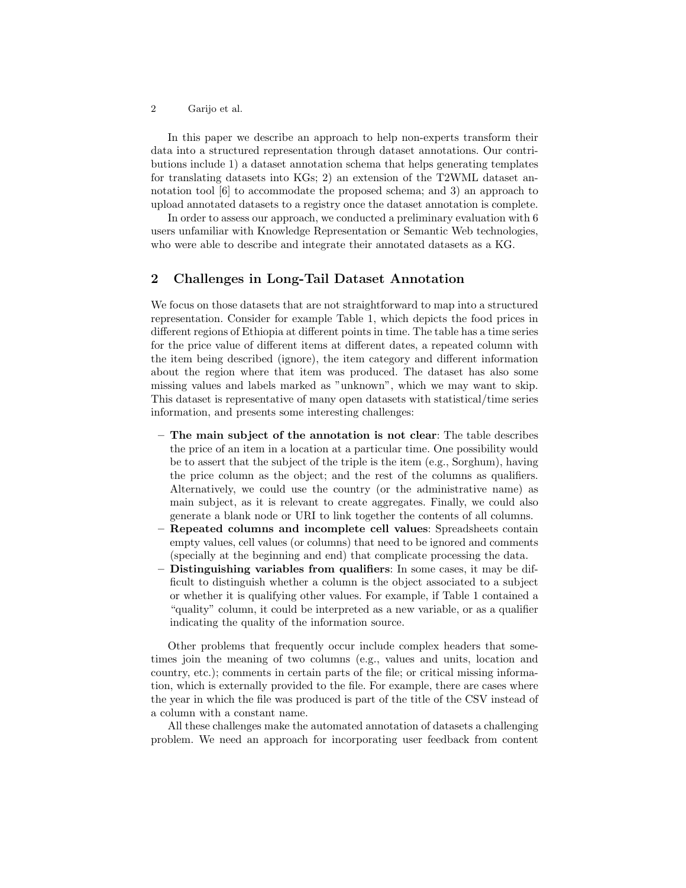2 Garijo et al.

In this paper we describe an approach to help non-experts transform their data into a structured representation through dataset annotations. Our contributions include 1) a dataset annotation schema that helps generating templates for translating datasets into KGs; 2) an extension of the T2WML dataset annotation tool [6] to accommodate the proposed schema; and 3) an approach to upload annotated datasets to a registry once the dataset annotation is complete.

In order to assess our approach, we conducted a preliminary evaluation with 6 users unfamiliar with Knowledge Representation or Semantic Web technologies, who were able to describe and integrate their annotated datasets as a KG.

# 2 Challenges in Long-Tail Dataset Annotation

We focus on those datasets that are not straightforward to map into a structured representation. Consider for example Table 1, which depicts the food prices in different regions of Ethiopia at different points in time. The table has a time series for the price value of different items at different dates, a repeated column with the item being described (ignore), the item category and different information about the region where that item was produced. The dataset has also some missing values and labels marked as "unknown", which we may want to skip. This dataset is representative of many open datasets with statistical/time series information, and presents some interesting challenges:

- The main subject of the annotation is not clear: The table describes the price of an item in a location at a particular time. One possibility would be to assert that the subject of the triple is the item (e.g., Sorghum), having the price column as the object; and the rest of the columns as qualifiers. Alternatively, we could use the country (or the administrative name) as main subject, as it is relevant to create aggregates. Finally, we could also generate a blank node or URI to link together the contents of all columns.
- Repeated columns and incomplete cell values: Spreadsheets contain empty values, cell values (or columns) that need to be ignored and comments (specially at the beginning and end) that complicate processing the data.
- Distinguishing variables from qualifiers: In some cases, it may be difficult to distinguish whether a column is the object associated to a subject or whether it is qualifying other values. For example, if Table 1 contained a "quality" column, it could be interpreted as a new variable, or as a qualifier indicating the quality of the information source.

Other problems that frequently occur include complex headers that sometimes join the meaning of two columns (e.g., values and units, location and country, etc.); comments in certain parts of the file; or critical missing information, which is externally provided to the file. For example, there are cases where the year in which the file was produced is part of the title of the CSV instead of a column with a constant name.

All these challenges make the automated annotation of datasets a challenging problem. We need an approach for incorporating user feedback from content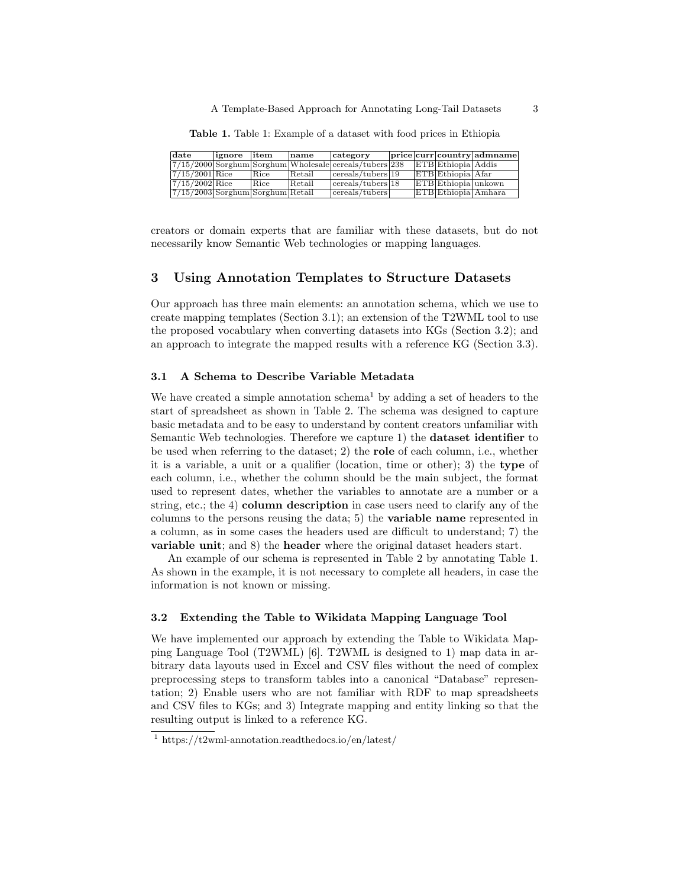A Template-Based Approach for Annotating Long-Tail Datasets 3

Table 1. Table 1: Example of a dataset with food prices in Ethiopia

| date                               | ignore | litem | name   | category                                                 |  |                     | price curr  country admname |
|------------------------------------|--------|-------|--------|----------------------------------------------------------|--|---------------------|-----------------------------|
|                                    |        |       |        | $7/15/2000$ Sorghum Sorghum Wholesale cereals/tubers 238 |  | ETB Ethiopia Addis  |                             |
| $7/15/2001$ Rice                   |        | Rice  | Retail | $ {\rm cereals/tubers} 19\rangle$                        |  | ETB Ethiopia Afar   |                             |
| $7/15/2002$ Rice                   |        | Rice  | Retail | $ {\rm cereals/tubers} 18$                               |  | ETB Ethiopia unkown |                             |
| $7/15/2003$ Sorghum Sorghum Retail |        |       |        | cereals/tubers                                           |  | ETB Ethiopia Amhara |                             |

creators or domain experts that are familiar with these datasets, but do not necessarily know Semantic Web technologies or mapping languages.

## 3 Using Annotation Templates to Structure Datasets

Our approach has three main elements: an annotation schema, which we use to create mapping templates (Section 3.1); an extension of the T2WML tool to use the proposed vocabulary when converting datasets into KGs (Section 3.2); and an approach to integrate the mapped results with a reference KG (Section 3.3).

# 3.1 A Schema to Describe Variable Metadata

We have created a simple annotation schema<sup>1</sup> by adding a set of headers to the start of spreadsheet as shown in Table 2. The schema was designed to capture basic metadata and to be easy to understand by content creators unfamiliar with Semantic Web technologies. Therefore we capture 1) the dataset identifier to be used when referring to the dataset; 2) the role of each column, i.e., whether it is a variable, a unit or a qualifier (location, time or other); 3) the type of each column, i.e., whether the column should be the main subject, the format used to represent dates, whether the variables to annotate are a number or a string, etc.; the 4) column description in case users need to clarify any of the columns to the persons reusing the data; 5) the variable name represented in a column, as in some cases the headers used are difficult to understand; 7) the variable unit; and 8) the header where the original dataset headers start.

An example of our schema is represented in Table 2 by annotating Table 1. As shown in the example, it is not necessary to complete all headers, in case the information is not known or missing.

#### 3.2 Extending the Table to Wikidata Mapping Language Tool

We have implemented our approach by extending the Table to Wikidata Mapping Language Tool (T2WML) [6]. T2WML is designed to 1) map data in arbitrary data layouts used in Excel and CSV files without the need of complex preprocessing steps to transform tables into a canonical "Database" representation; 2) Enable users who are not familiar with RDF to map spreadsheets and CSV files to KGs; and 3) Integrate mapping and entity linking so that the resulting output is linked to a reference KG.

<sup>&</sup>lt;sup>1</sup> https://t2wml-annotation.readthedocs.io/en/latest/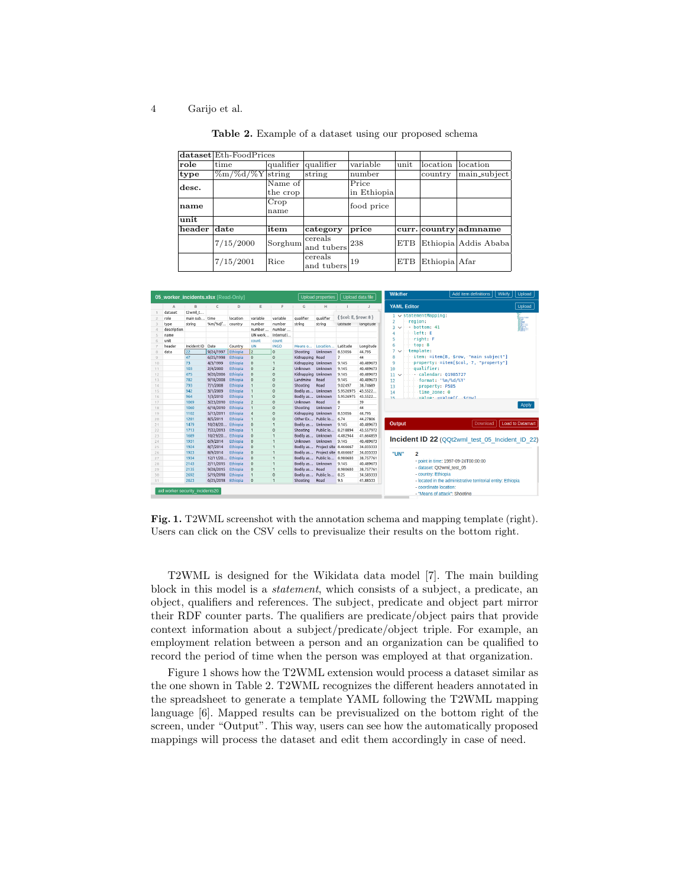#### 4 Garijo et al.

|        | dataset Eth-FoodPrices |                      |                       |             |      |               |                       |
|--------|------------------------|----------------------|-----------------------|-------------|------|---------------|-----------------------|
| role   | time                   | qualifier            | qualifier             | variable    | unit | location      | location              |
| type   | $\%m/\%d/\%Y$ string   |                      | string                | number      |      | country       | main_subject          |
| desc.  |                        | Name $\overline{of}$ |                       | Price       |      |               |                       |
|        |                        | the crop             |                       | in Ethiopia |      |               |                       |
| name   |                        | Crop                 |                       | food price  |      |               |                       |
|        |                        | name                 |                       |             |      |               |                       |
| unit   |                        |                      |                       |             |      |               |                       |
| header | date                   | item                 | category              | price       |      |               | curr. country admname |
|        | 7/15/2000              | Sorghum              | cereals<br>and tubers | 238         | ETB  |               | Ethiopia Addis Ababa  |
|        | 7/15/2001              | Rice                 | cereals<br>and tubers | 19          | ETB  | Ethiopia Afar |                       |

Table 2. Example of a dataset using our proposed schema



Fig. 1. T2WML screenshot with the annotation schema and mapping template (right). Users can click on the CSV cells to previsualize their results on the bottom right.

T2WML is designed for the Wikidata data model [7]. The main building block in this model is a statement, which consists of a subject, a predicate, an object, qualifiers and references. The subject, predicate and object part mirror their RDF counter parts. The qualifiers are predicate/object pairs that provide context information about a subject/predicate/object triple. For example, an employment relation between a person and an organization can be qualified to record the period of time when the person was employed at that organization.

Figure 1 shows how the T2WML extension would process a dataset similar as the one shown in Table 2. T2WML recognizes the different headers annotated in the spreadsheet to generate a template YAML following the T2WML mapping language [6]. Mapped results can be previsualized on the bottom right of the screen, under "Output". This way, users can see how the automatically proposed mappings will process the dataset and edit them accordingly in case of need.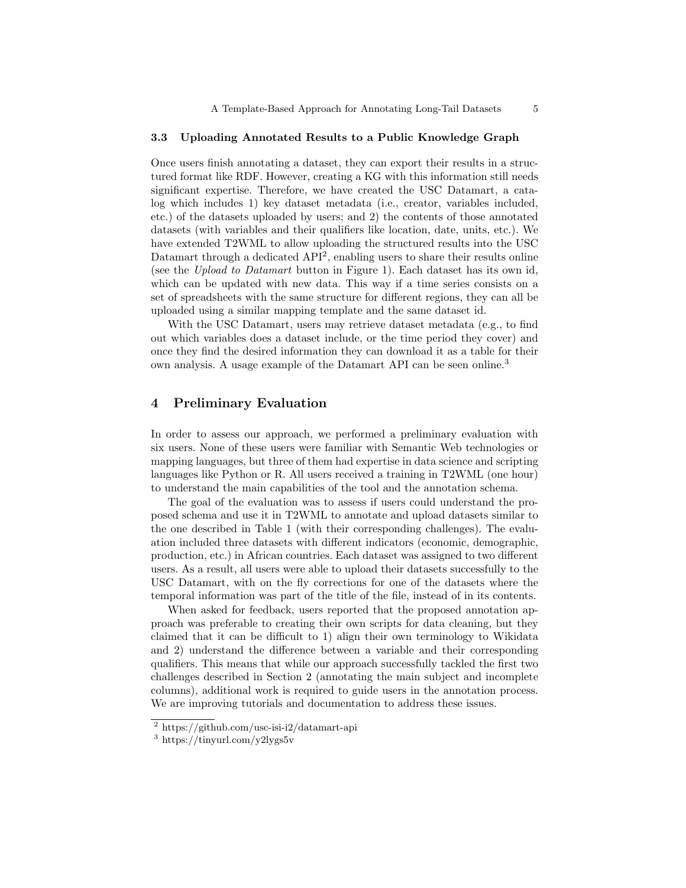#### 3.3 Uploading Annotated Results to a Public Knowledge Graph

Once users finish annotating a dataset, they can export their results in a structured format like RDF. However, creating a KG with this information still needs significant expertise. Therefore, we have created the USC Datamart, a catalog which includes 1) key dataset metadata (i.e., creator, variables included, etc.) of the datasets uploaded by users; and 2) the contents of those annotated datasets (with variables and their qualifiers like location, date, units, etc.). We have extended T2WML to allow uploading the structured results into the USC Datamart through a dedicated  $API<sup>2</sup>$ , enabling users to share their results online (see the Upload to Datamart button in Figure 1). Each dataset has its own id, which can be updated with new data. This way if a time series consists on a set of spreadsheets with the same structure for different regions, they can all be uploaded using a similar mapping template and the same dataset id.

With the USC Datamart, users may retrieve dataset metadata (e.g., to find out which variables does a dataset include, or the time period they cover) and once they find the desired information they can download it as a table for their own analysis. A usage example of the Datamart API can be seen online.<sup>3</sup>

# 4 Preliminary Evaluation

In order to assess our approach, we performed a preliminary evaluation with six users. None of these users were familiar with Semantic Web technologies or mapping languages, but three of them had expertise in data science and scripting languages like Python or R. All users received a training in T2WML (one hour) to understand the main capabilities of the tool and the annotation schema.

The goal of the evaluation was to assess if users could understand the proposed schema and use it in T2WML to annotate and upload datasets similar to the one described in Table 1 (with their corresponding challenges). The evaluation included three datasets with different indicators (economic, demographic, production, etc.) in African countries. Each dataset was assigned to two different users. As a result, all users were able to upload their datasets successfully to the USC Datamart, with on the fly corrections for one of the datasets where the temporal information was part of the title of the file, instead of in its contents.

When asked for feedback, users reported that the proposed annotation approach was preferable to creating their own scripts for data cleaning, but they claimed that it can be difficult to 1) align their own terminology to Wikidata and 2) understand the difference between a variable and their corresponding qualifiers. This means that while our approach successfully tackled the first two challenges described in Section 2 (annotating the main subject and incomplete columns), additional work is required to guide users in the annotation process. We are improving tutorials and documentation to address these issues.

<sup>2</sup> https://github.com/usc-isi-i2/datamart-api

<sup>3</sup> https://tinyurl.com/y2lygs5v